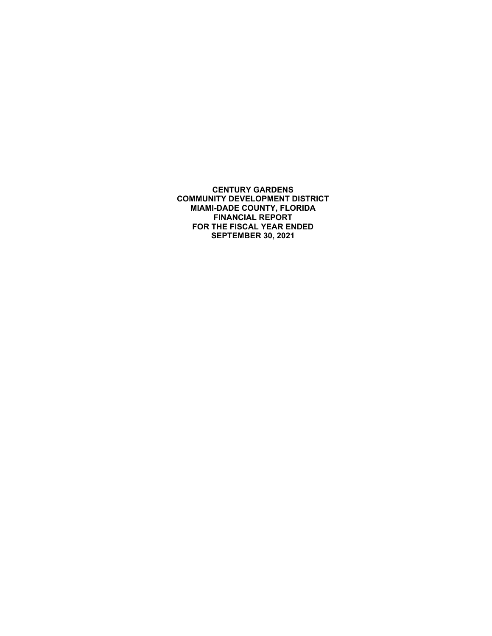**CENTURY GARDENS COMMUNITY DEVELOPMENT DISTRICT MIAMI-DADE COUNTY, FLORIDA FINANCIAL REPORT FOR THE FISCAL YEAR ENDED SEPTEMBER 30, 2021**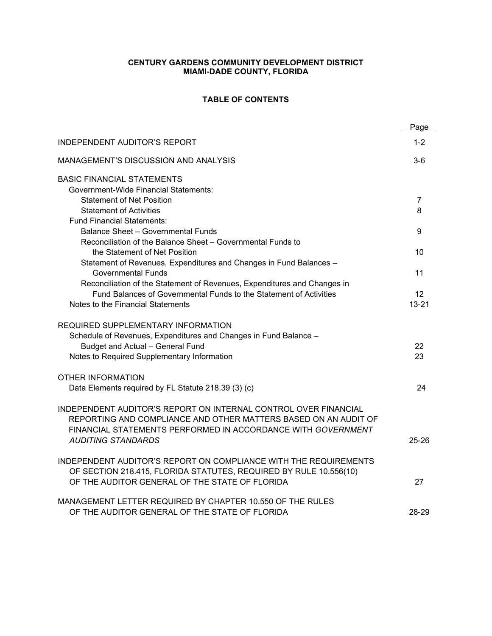# **CENTURY GARDENS COMMUNITY DEVELOPMENT DISTRICT MIAMI-DADE COUNTY, FLORIDA**

# **TABLE OF CONTENTS**

|                                                                                                                                                                                                                                 | Page      |
|---------------------------------------------------------------------------------------------------------------------------------------------------------------------------------------------------------------------------------|-----------|
| <b>INDEPENDENT AUDITOR'S REPORT</b>                                                                                                                                                                                             | $1 - 2$   |
| MANAGEMENT'S DISCUSSION AND ANALYSIS                                                                                                                                                                                            | $3-6$     |
| <b>BASIC FINANCIAL STATEMENTS</b>                                                                                                                                                                                               |           |
| <b>Government-Wide Financial Statements:</b>                                                                                                                                                                                    |           |
| <b>Statement of Net Position</b>                                                                                                                                                                                                | 7         |
| <b>Statement of Activities</b>                                                                                                                                                                                                  | 8         |
| <b>Fund Financial Statements:</b>                                                                                                                                                                                               |           |
| <b>Balance Sheet - Governmental Funds</b>                                                                                                                                                                                       | 9         |
| Reconciliation of the Balance Sheet – Governmental Funds to                                                                                                                                                                     |           |
| the Statement of Net Position                                                                                                                                                                                                   | 10        |
| Statement of Revenues, Expenditures and Changes in Fund Balances -                                                                                                                                                              |           |
| <b>Governmental Funds</b>                                                                                                                                                                                                       | 11        |
| Reconciliation of the Statement of Revenues, Expenditures and Changes in                                                                                                                                                        |           |
| Fund Balances of Governmental Funds to the Statement of Activities                                                                                                                                                              | 12        |
| Notes to the Financial Statements                                                                                                                                                                                               | $13 - 21$ |
| REQUIRED SUPPLEMENTARY INFORMATION<br>Schedule of Revenues, Expenditures and Changes in Fund Balance -<br>Budget and Actual - General Fund<br>Notes to Required Supplementary Information                                       | 22<br>23  |
| <b>OTHER INFORMATION</b><br>Data Elements required by FL Statute 218.39 (3) (c)                                                                                                                                                 | 24        |
| INDEPENDENT AUDITOR'S REPORT ON INTERNAL CONTROL OVER FINANCIAL<br>REPORTING AND COMPLIANCE AND OTHER MATTERS BASED ON AN AUDIT OF<br>FINANCIAL STATEMENTS PERFORMED IN ACCORDANCE WITH GOVERNMENT<br><b>AUDITING STANDARDS</b> | 25-26     |
|                                                                                                                                                                                                                                 |           |
| INDEPENDENT AUDITOR'S REPORT ON COMPLIANCE WITH THE REQUIREMENTS<br>OF SECTION 218.415, FLORIDA STATUTES, REQUIRED BY RULE 10.556(10)<br>OF THE AUDITOR GENERAL OF THE STATE OF FLORIDA                                         | 27        |
|                                                                                                                                                                                                                                 |           |
| MANAGEMENT LETTER REQUIRED BY CHAPTER 10.550 OF THE RULES<br>OF THE AUDITOR GENERAL OF THE STATE OF FLORIDA                                                                                                                     | 28-29     |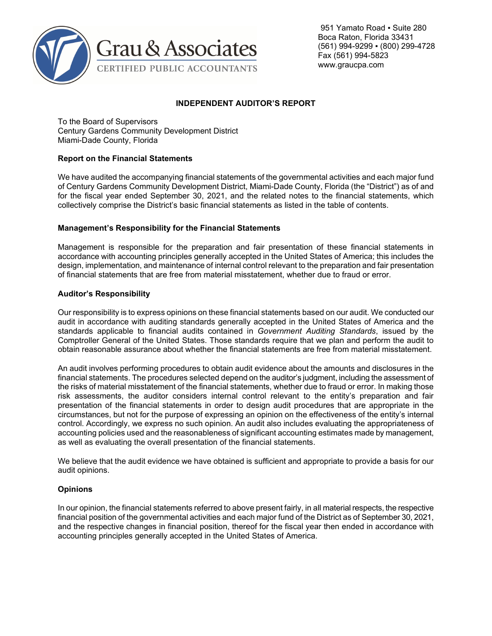

951 Yamato Road • Suite 280 Boca Raton, Florida 33431 (561) 994-9299 ▪ (800) 299-4728 Fax (561) 994-5823 www.graucpa.com

# **INDEPENDENT AUDITOR'S REPORT**

To the Board of Supervisors Century Gardens Community Development District Miami-Dade County, Florida

## **Report on the Financial Statements**

We have audited the accompanying financial statements of the governmental activities and each major fund of Century Gardens Community Development District, Miami-Dade County, Florida (the "District") as of and for the fiscal year ended September 30, 2021, and the related notes to the financial statements, which collectively comprise the District's basic financial statements as listed in the table of contents.

## **Management's Responsibility for the Financial Statements**

Management is responsible for the preparation and fair presentation of these financial statements in accordance with accounting principles generally accepted in the United States of America; this includes the design, implementation, and maintenance of internal control relevant to the preparation and fair presentation of financial statements that are free from material misstatement, whether due to fraud or error.

## **Auditor's Responsibility**

Our responsibility is to express opinions on these financial statements based on our audit. We conducted our audit in accordance with auditing standards generally accepted in the United States of America and the standards applicable to financial audits contained in *Government Auditing Standards*, issued by the Comptroller General of the United States. Those standards require that we plan and perform the audit to obtain reasonable assurance about whether the financial statements are free from material misstatement.

An audit involves performing procedures to obtain audit evidence about the amounts and disclosures in the financial statements. The procedures selected depend on the auditor's judgment, including the assessment of the risks of material misstatement of the financial statements, whether due to fraud or error. In making those risk assessments, the auditor considers internal control relevant to the entity's preparation and fair presentation of the financial statements in order to design audit procedures that are appropriate in the circumstances, but not for the purpose of expressing an opinion on the effectiveness of the entity's internal control. Accordingly, we express no such opinion. An audit also includes evaluating the appropriateness of accounting policies used and the reasonableness of significant accounting estimates made by management, as well as evaluating the overall presentation of the financial statements.

We believe that the audit evidence we have obtained is sufficient and appropriate to provide a basis for our audit opinions.

### **Opinions**

In our opinion, the financial statements referred to above present fairly, in all material respects, the respective financial position of the governmental activities and each major fund of the District as of September 30, 2021, and the respective changes in financial position, thereof for the fiscal year then ended in accordance with accounting principles generally accepted in the United States of America.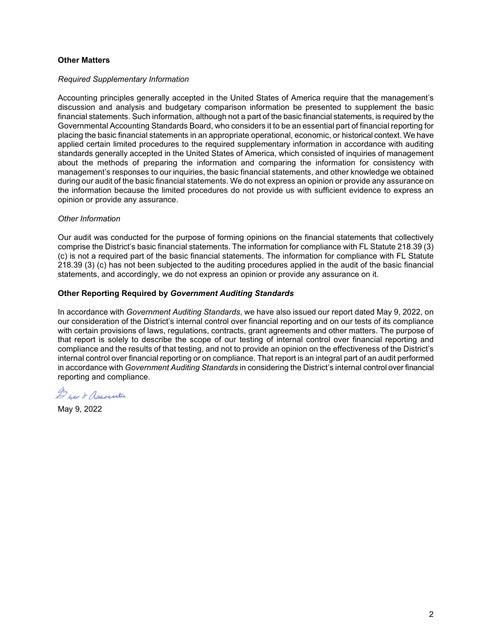## **Other Matters**

#### *Required Supplementary Information*

Accounting principles generally accepted in the United States of America require that the management's discussion and analysis and budgetary comparison information be presented to supplement the basic financial statements. Such information, although not a part of the basic financial statements, is required by the Governmental Accounting Standards Board, who considers it to be an essential part of financial reporting for placing the basic financial statements in an appropriate operational, economic, or historical context. We have applied certain limited procedures to the required supplementary information in accordance with auditing standards generally accepted in the United States of America, which consisted of inquiries of management about the methods of preparing the information and comparing the information for consistency with management's responses to our inquiries, the basic financial statements, and other knowledge we obtained during our audit of the basic financial statements. We do not express an opinion or provide any assurance on the information because the limited procedures do not provide us with sufficient evidence to express an opinion or provide any assurance.

### *Other Information*

Our audit was conducted for the purpose of forming opinions on the financial statements that collectively comprise the District's basic financial statements. The information for compliance with FL Statute 218.39 (3) (c) is not a required part of the basic financial statements. The information for compliance with FL Statute 218.39 (3) (c) has not been subjected to the auditing procedures applied in the audit of the basic financial statements, and accordingly, we do not express an opinion or provide any assurance on it.

### **Other Reporting Required by** *Government Auditing Standards*

In accordance with *Government Auditing Standards*, we have also issued our report dated May 9, 2022, on our consideration of the District's internal control over financial reporting and on our tests of its compliance with certain provisions of laws, regulations, contracts, grant agreements and other matters. The purpose of that report is solely to describe the scope of our testing of internal control over financial reporting and compliance and the results of that testing, and not to provide an opinion on the effectiveness of the District's internal control over financial reporting or on compliance. That report is an integral part of an audit performed in accordance with *Government Auditing Standards* in considering the District's internal control over financial reporting and compliance.

De yau & Association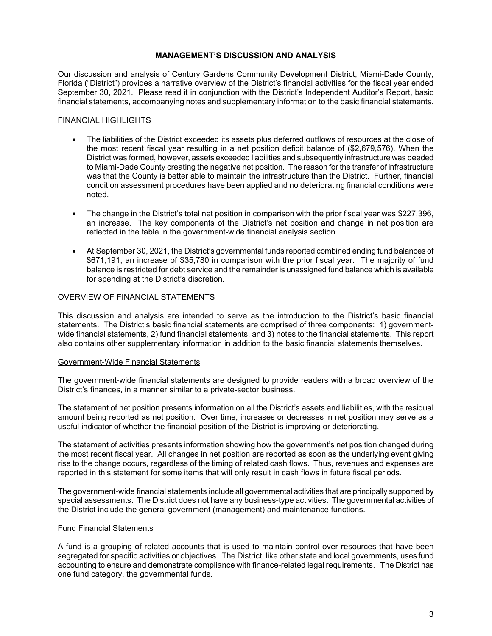# **MANAGEMENT'S DISCUSSION AND ANALYSIS**

Our discussion and analysis of Century Gardens Community Development District, Miami-Dade County, Florida ("District") provides a narrative overview of the District's financial activities for the fiscal year ended September 30, 2021. Please read it in conjunction with the District's Independent Auditor's Report, basic financial statements, accompanying notes and supplementary information to the basic financial statements.

## FINANCIAL HIGHLIGHTS

- The liabilities of the District exceeded its assets plus deferred outflows of resources at the close of the most recent fiscal year resulting in a net position deficit balance of (\$2,679,576). When the District was formed, however, assets exceeded liabilities and subsequently infrastructure was deeded to Miami-Dade County creating the negative net position. The reason for the transfer of infrastructure was that the County is better able to maintain the infrastructure than the District. Further, financial condition assessment procedures have been applied and no deteriorating financial conditions were noted.
- The change in the District's total net position in comparison with the prior fiscal year was \$227,396, an increase. The key components of the District's net position and change in net position are reflected in the table in the government-wide financial analysis section.
- At September 30, 2021, the District's governmental funds reported combined ending fund balances of \$671,191, an increase of \$35,780 in comparison with the prior fiscal year. The majority of fund balance is restricted for debt service and the remainder is unassigned fund balance which is available for spending at the District's discretion.

### OVERVIEW OF FINANCIAL STATEMENTS

This discussion and analysis are intended to serve as the introduction to the District's basic financial statements. The District's basic financial statements are comprised of three components: 1) governmentwide financial statements, 2) fund financial statements, and 3) notes to the financial statements. This report also contains other supplementary information in addition to the basic financial statements themselves.

### Government-Wide Financial Statements

The government-wide financial statements are designed to provide readers with a broad overview of the District's finances, in a manner similar to a private-sector business.

The statement of net position presents information on all the District's assets and liabilities, with the residual amount being reported as net position. Over time, increases or decreases in net position may serve as a useful indicator of whether the financial position of the District is improving or deteriorating.

The statement of activities presents information showing how the government's net position changed during the most recent fiscal year. All changes in net position are reported as soon as the underlying event giving rise to the change occurs, regardless of the timing of related cash flows. Thus, revenues and expenses are reported in this statement for some items that will only result in cash flows in future fiscal periods.

The government-wide financial statements include all governmental activities that are principally supported by special assessments. The District does not have any business-type activities. The governmental activities of the District include the general government (management) and maintenance functions.

### Fund Financial Statements

A fund is a grouping of related accounts that is used to maintain control over resources that have been segregated for specific activities or objectives. The District, like other state and local governments, uses fund accounting to ensure and demonstrate compliance with finance-related legal requirements. The District has one fund category, the governmental funds.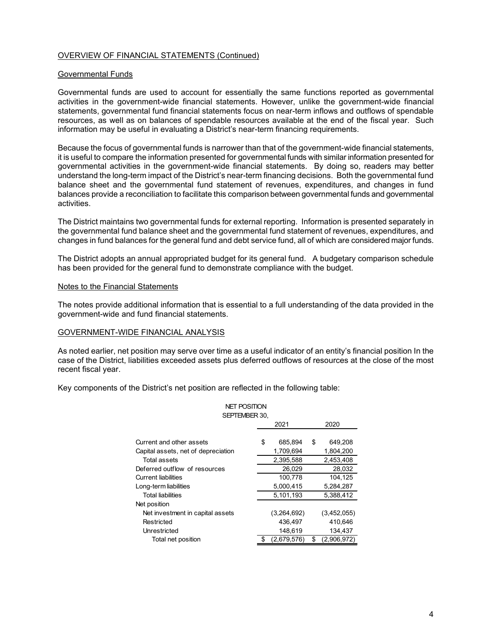## OVERVIEW OF FINANCIAL STATEMENTS (Continued)

### Governmental Funds

Governmental funds are used to account for essentially the same functions reported as governmental activities in the government-wide financial statements. However, unlike the government-wide financial statements, governmental fund financial statements focus on near-term inflows and outflows of spendable resources, as well as on balances of spendable resources available at the end of the fiscal year. Such information may be useful in evaluating a District's near-term financing requirements.

Because the focus of governmental funds is narrower than that of the government-wide financial statements, it is useful to compare the information presented for governmental funds with similar information presented for governmental activities in the government-wide financial statements. By doing so, readers may better understand the long-term impact of the District's near-term financing decisions. Both the governmental fund balance sheet and the governmental fund statement of revenues, expenditures, and changes in fund balances provide a reconciliation to facilitate this comparison between governmental funds and governmental activities.

The District maintains two governmental funds for external reporting. Information is presented separately in the governmental fund balance sheet and the governmental fund statement of revenues, expenditures, and changes in fund balances for the general fund and debt service fund, all of which are considered major funds.

The District adopts an annual appropriated budget for its general fund. A budgetary comparison schedule has been provided for the general fund to demonstrate compliance with the budget.

#### Notes to the Financial Statements

The notes provide additional information that is essential to a full understanding of the data provided in the government-wide and fund financial statements.

#### GOVERNMENT-WIDE FINANCIAL ANALYSIS

As noted earlier, net position may serve over time as a useful indicator of an entity's financial position In the case of the District, liabilities exceeded assets plus deferred outflows of resources at the close of the most recent fiscal year.

Key components of the District's net position are reflected in the following table:

| <b>NET POSITION</b>                 |    |             |    |             |  |  |  |
|-------------------------------------|----|-------------|----|-------------|--|--|--|
| SEPTEMBER 30.                       |    |             |    |             |  |  |  |
| 2020<br>2021                        |    |             |    |             |  |  |  |
|                                     |    |             |    |             |  |  |  |
| Current and other assets            | \$ | 685,894     | \$ | 649,208     |  |  |  |
| Capital assets, net of depreciation |    | 1.709.694   |    | 1,804,200   |  |  |  |
| Total assets                        |    | 2,395,588   |    | 2,453,408   |  |  |  |
| Deferred outflow of resources       |    | 26,029      |    | 28,032      |  |  |  |
| <b>Current liabilities</b>          |    | 100,778     |    | 104,125     |  |  |  |
| Long-term liabilities               |    | 5,000,415   |    | 5,284,287   |  |  |  |
| <b>Total liabilities</b>            |    | 5,388,412   |    |             |  |  |  |
| Net position                        |    |             |    |             |  |  |  |
| Net investment in capital assets    |    | (3,264,692) |    | (3,452,055) |  |  |  |
| Restricted                          |    | 436.497     |    | 410.646     |  |  |  |
| Unrestricted                        |    | 148,619     |    | 134,437     |  |  |  |
| Total net position                  | \$ | (2,679,576) | \$ | (2,906,972) |  |  |  |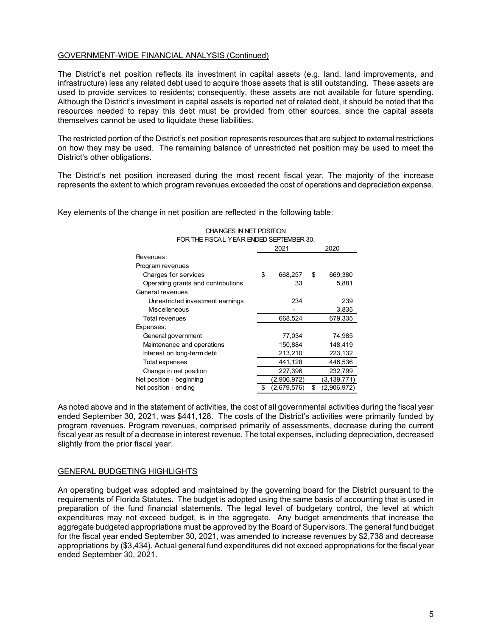### GOVERNMENT-WIDE FINANCIAL ANALYSIS (Continued)

The District's net position reflects its investment in capital assets (e.g. land, land improvements, and infrastructure) less any related debt used to acquire those assets that is still outstanding. These assets are used to provide services to residents; consequently, these assets are not available for future spending. Although the District's investment in capital assets is reported net of related debt, it should be noted that the resources needed to repay this debt must be provided from other sources, since the capital assets themselves cannot be used to liquidate these liabilities.

The restricted portion of the District's net position represents resources that are subject to external restrictions on how they may be used. The remaining balance of unrestricted net position may be used to meet the District's other obligations.

The District's net position increased during the most recent fiscal year. The majority of the increase represents the extent to which program revenues exceeded the cost of operations and depreciation expense.

CHANGES IN NET POSITION

Key elements of the change in net position are reflected in the following table:

| CHANGES IN NET POSITION                 |                    |             |    |               |  |  |  |
|-----------------------------------------|--------------------|-------------|----|---------------|--|--|--|
| FOR THE FISCAL YEAR ENDED SEPTEMBER 30, |                    |             |    |               |  |  |  |
|                                         |                    | 2021        |    | 2020          |  |  |  |
| Revenues:                               |                    |             |    |               |  |  |  |
| Program revenues                        |                    |             |    |               |  |  |  |
| Charges for services                    | \$                 | 668,257     | \$ | 669,380       |  |  |  |
| Operating grants and contributions      |                    | 33          |    | 5,881         |  |  |  |
| General revenues                        |                    |             |    |               |  |  |  |
| Unrestricted investment earnings        |                    | 234         |    | 239           |  |  |  |
| <b>Miscelleneous</b>                    | 3,835              |             |    |               |  |  |  |
| <b>Total revenues</b>                   | 668,524<br>679,335 |             |    |               |  |  |  |
| Expenses:                               |                    |             |    |               |  |  |  |
| General government                      |                    | 74,985      |    |               |  |  |  |
| Maintenance and operations              | 150,884<br>148,419 |             |    |               |  |  |  |
| Interest on long-term debt              | 213,210<br>223,132 |             |    |               |  |  |  |
| Total expenses                          | 441,128<br>446,536 |             |    |               |  |  |  |
| Change in net position                  |                    | 227,396     |    | 232,799       |  |  |  |
| Net position - beginning                |                    | (2,906,972) |    | (3, 139, 771) |  |  |  |
| Net position - ending                   | \$                 | (2,679,576) | \$ | (2,906,972)   |  |  |  |

As noted above and in the statement of activities, the cost of all governmental activities during the fiscal year ended September 30, 2021, was \$441,128. The costs of the District's activities were primarily funded by program revenues. Program revenues, comprised primarily of assessments, decrease during the current fiscal year as result of a decrease in interest revenue. The total expenses, including depreciation, decreased slightly from the prior fiscal year.

### GENERAL BUDGETING HIGHLIGHTS

An operating budget was adopted and maintained by the governing board for the District pursuant to the requirements of Florida Statutes. The budget is adopted using the same basis of accounting that is used in preparation of the fund financial statements. The legal level of budgetary control, the level at which expenditures may not exceed budget, is in the aggregate. Any budget amendments that increase the aggregate budgeted appropriations must be approved by the Board of Supervisors. The general fund budget for the fiscal year ended September 30, 2021, was amended to increase revenues by \$2,738 and decrease appropriations by (\$3,434). Actual general fund expenditures did not exceed appropriations for the fiscal year ended September 30, 2021.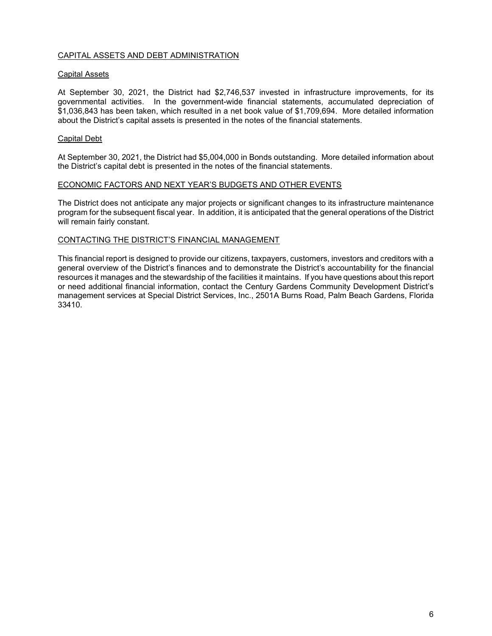### CAPITAL ASSETS AND DEBT ADMINISTRATION

## Capital Assets

At September 30, 2021, the District had \$2,746,537 invested in infrastructure improvements, for its governmental activities. In the government-wide financial statements, accumulated depreciation of \$1,036,843 has been taken, which resulted in a net book value of \$1,709,694. More detailed information about the District's capital assets is presented in the notes of the financial statements.

## Capital Debt

At September 30, 2021, the District had \$5,004,000 in Bonds outstanding. More detailed information about the District's capital debt is presented in the notes of the financial statements.

### ECONOMIC FACTORS AND NEXT YEAR'S BUDGETS AND OTHER EVENTS

The District does not anticipate any major projects or significant changes to its infrastructure maintenance program for the subsequent fiscal year. In addition, it is anticipated that the general operations of the District will remain fairly constant.

### CONTACTING THE DISTRICT'S FINANCIAL MANAGEMENT

This financial report is designed to provide our citizens, taxpayers, customers, investors and creditors with a general overview of the District's finances and to demonstrate the District's accountability for the financial resources it manages and the stewardship of the facilities it maintains. If you have questions about this report or need additional financial information, contact the Century Gardens Community Development District's management services at Special District Services, Inc., 2501A Burns Road, Palm Beach Gardens, Florida 33410.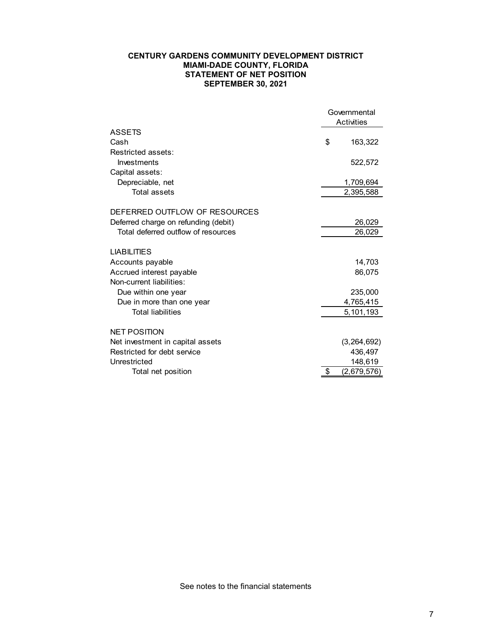## **CENTURY GARDENS COMMUNITY DEVELOPMENT DISTRICT MIAMI-DADE COUNTY, FLORIDA STATEMENT OF NET POSITION SEPTEMBER 30, 2021**

|                                      | Governmental<br><b>Activities</b> |             |
|--------------------------------------|-----------------------------------|-------------|
| <b>ASSETS</b>                        |                                   |             |
| Cash                                 | \$                                | 163,322     |
| Restricted assets:                   |                                   |             |
| Investments                          |                                   | 522,572     |
| Capital assets:                      |                                   |             |
| Depreciable, net                     |                                   | 1,709,694   |
| Total assets                         |                                   | 2,395,588   |
| DEFERRED OUTFLOW OF RESOURCES        |                                   |             |
| Deferred charge on refunding (debit) |                                   | 26,029      |
| Total deferred outflow of resources  |                                   | 26,029      |
| <b>LIABILITIES</b>                   |                                   |             |
| Accounts payable                     |                                   | 14,703      |
| Accrued interest payable             |                                   | 86,075      |
| Non-current liabilities:             |                                   |             |
| Due within one year                  |                                   | 235,000     |
| Due in more than one year            |                                   | 4,765,415   |
| <b>Total liabilities</b>             |                                   | 5,101,193   |
| <b>NET POSITION</b>                  |                                   |             |
| Net investment in capital assets     |                                   | (3,264,692) |
| Restricted for debt service          |                                   | 436,497     |
| Unrestricted                         |                                   | 148,619     |
| Total net position                   | \$                                | (2,679,576) |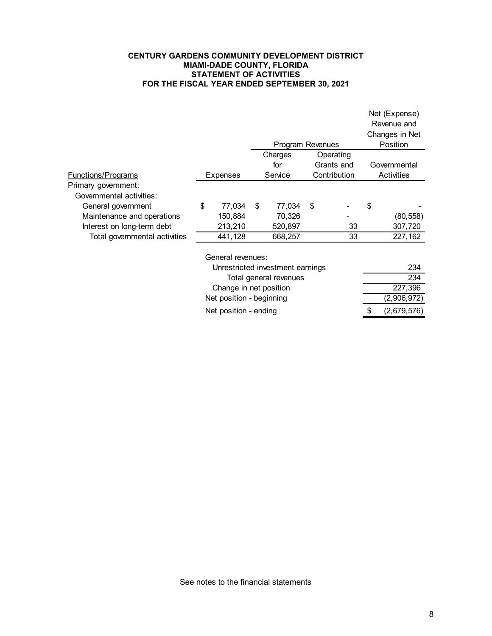### **CENTURY GARDENS COMMUNITY DEVELOPMENT DISTRICT MIAMI-DADE COUNTY, FLORIDA STATEMENT OF ACTIVITIES FOR THE FISCAL YEAR ENDED SEPTEMBER 30, 2021**

|                               |              |                      |                  |              |              | Net (Expense)<br>Revenue and |
|-------------------------------|--------------|----------------------|------------------|--------------|--------------|------------------------------|
|                               |              |                      |                  |              |              | Changes in Net               |
|                               |              |                      | Program Revenues |              |              | <b>Position</b>              |
|                               |              | Operating<br>Charges |                  |              |              |                              |
|                               |              | Grants and<br>for    |                  |              | Governmental |                              |
| <b>Functions/Programs</b>     | Expenses     | Service              |                  | Contribution |              | Activities                   |
| Primary government:           |              |                      |                  |              |              |                              |
| Governmental activities:      |              |                      |                  |              |              |                              |
| General government            | \$<br>77.034 | S                    | 77.034           | -S           |              | \$                           |
| Maintenance and operations    | 150,884      |                      | 70,326           |              |              | (80,558)                     |
| Interest on long-term debt    | 213,210      |                      | 520,897          |              | 33           | 307,720                      |
| Total governmental activities | 441,128      |                      | 668,257          |              | 33           | 227,162                      |
|                               |              |                      |                  |              |              |                              |

General revenues:

| Unrestricted investment earnings |   | 234         |
|----------------------------------|---|-------------|
| Total general revenues           |   | 234         |
| Change in net position           |   | 227,396     |
| Net position - beginning         |   | (2,906,972) |
| Net position - ending            | S | (2,679,576) |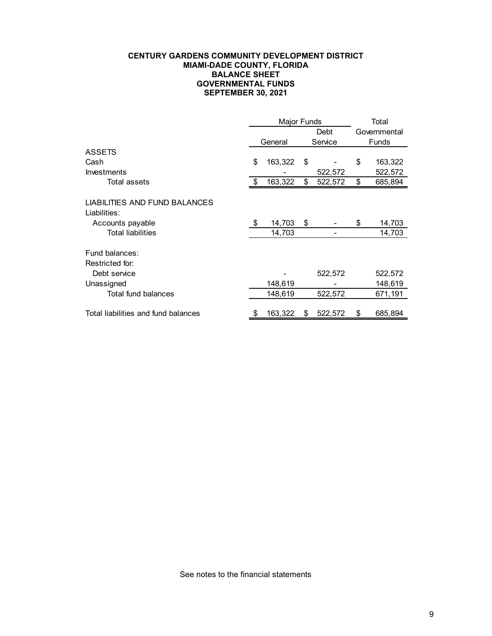### **CENTURY GARDENS COMMUNITY DEVELOPMENT DISTRICT MIAMI-DADE COUNTY, FLORIDA BALANCE SHEET GOVERNMENTAL FUNDS SEPTEMBER 30, 2021**

|                                                      | Major Funds   |         |    |         |              | Total        |  |
|------------------------------------------------------|---------------|---------|----|---------|--------------|--------------|--|
|                                                      | Debt          |         |    |         | Governmental |              |  |
|                                                      |               | General |    | Service |              | <b>Funds</b> |  |
| <b>ASSETS</b>                                        |               |         |    |         |              |              |  |
| Cash                                                 | \$            | 163,322 | \$ |         | \$           | 163,322      |  |
| <b>Investments</b>                                   |               |         |    | 522,572 |              | 522,572      |  |
| Total assets                                         | $\frac{1}{2}$ | 163,322 | \$ | 522,572 | \$           | 685,894      |  |
| <b>LIABILITIES AND FUND BALANCES</b><br>Liabilities: |               |         |    |         |              |              |  |
| Accounts payable                                     | -\$           | 14,703  | \$ |         | \$           | 14,703       |  |
| <b>Total liabilities</b>                             |               | 14,703  |    |         |              | 14,703       |  |
| Fund balances:                                       |               |         |    |         |              |              |  |
| Restricted for:                                      |               |         |    |         |              |              |  |
| Debt service                                         |               |         |    | 522,572 |              | 522,572      |  |
| Unassigned                                           |               | 148,619 |    |         |              | 148,619      |  |
| Total fund balances                                  |               | 148,619 |    | 522,572 |              | 671,191      |  |
| Total liabilities and fund balances                  | \$            | 163,322 | S  | 522,572 | \$           | 685,894      |  |

See notes to the financial statements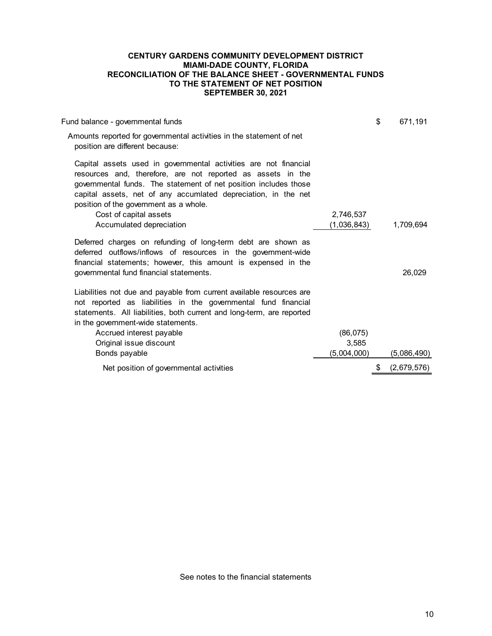### **CENTURY GARDENS COMMUNITY DEVELOPMENT DISTRICT MIAMI-DADE COUNTY, FLORIDA RECONCILIATION OF THE BALANCE SHEET - GOVERNMENTAL FUNDS TO THE STATEMENT OF NET POSITION SEPTEMBER 30, 2021**

| Fund balance - governmental funds                                                                                                                                                                                                                                                                               |             | \$<br>671,191 |
|-----------------------------------------------------------------------------------------------------------------------------------------------------------------------------------------------------------------------------------------------------------------------------------------------------------------|-------------|---------------|
| Amounts reported for governmental activities in the statement of net<br>position are different because:                                                                                                                                                                                                         |             |               |
| Capital assets used in governmental activities are not financial<br>resources and, therefore, are not reported as assets in the<br>governmental funds. The statement of net position includes those<br>capital assets, net of any accumlated depreciation, in the net<br>position of the government as a whole. |             |               |
| Cost of capital assets                                                                                                                                                                                                                                                                                          | 2,746,537   |               |
| Accumulated depreciation                                                                                                                                                                                                                                                                                        | (1,036,843) | 1,709,694     |
| Deferred charges on refunding of long-term debt are shown as<br>deferred outflows/inflows of resources in the government-wide<br>financial statements; however, this amount is expensed in the<br>governmental fund financial statements.                                                                       |             | 26,029        |
| Liabilities not due and payable from current available resources are<br>not reported as liabilities in the governmental fund financial<br>statements. All liabilities, both current and long-term, are reported<br>in the government-wide statements.                                                           |             |               |
| Accrued interest payable                                                                                                                                                                                                                                                                                        | (86,075)    |               |
| Original issue discount                                                                                                                                                                                                                                                                                         | 3,585       |               |
| Bonds payable                                                                                                                                                                                                                                                                                                   | (5,004,000) | (5,086,490)   |
| Net position of governmental activities                                                                                                                                                                                                                                                                         |             | (2,679,576)   |
|                                                                                                                                                                                                                                                                                                                 |             |               |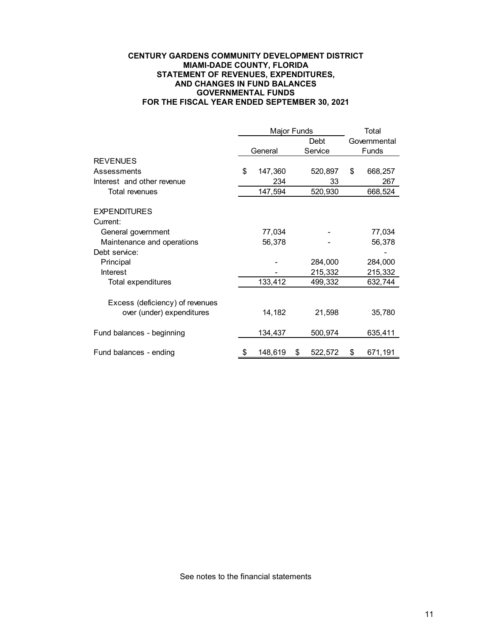### **CENTURY GARDENS COMMUNITY DEVELOPMENT DISTRICT MIAMI-DADE COUNTY, FLORIDA STATEMENT OF REVENUES, EXPENDITURES, AND CHANGES IN FUND BALANCES GOVERNMENTAL FUNDS FOR THE FISCAL YEAR ENDED SEPTEMBER 30, 2021**

|                                 | Major Funds |         |    |         |       | Total        |  |
|---------------------------------|-------------|---------|----|---------|-------|--------------|--|
|                                 |             |         |    | Debt    |       | Governmental |  |
|                                 |             | General |    | Service | Funds |              |  |
| <b>REVENUES</b>                 |             |         |    |         |       |              |  |
| Assessments                     | \$          | 147,360 |    | 520,897 | \$    | 668,257      |  |
| Interest and other revenue      |             | 234     |    | 33      |       | 267          |  |
| <b>Total revenues</b>           |             | 147,594 |    | 520,930 |       | 668,524      |  |
| <b>EXPENDITURES</b>             |             |         |    |         |       |              |  |
| Current:                        |             |         |    |         |       |              |  |
| General government              |             | 77,034  |    |         |       | 77,034       |  |
| Maintenance and operations      |             | 56,378  |    |         |       | 56,378       |  |
| Debt service:                   |             |         |    |         |       |              |  |
| Principal                       |             |         |    | 284,000 |       | 284,000      |  |
| <b>Interest</b>                 |             |         |    | 215,332 |       | 215,332      |  |
| Total expenditures              |             | 133,412 |    | 499,332 |       | 632,744      |  |
| Excess (deficiency) of revenues |             |         |    |         |       |              |  |
| over (under) expenditures       |             | 14,182  |    | 21,598  |       | 35,780       |  |
| Fund balances - beginning       |             | 134,437 |    | 500,974 |       | 635,411      |  |
| Fund balances - ending          | \$          | 148,619 | \$ | 522,572 | \$    | 671,191      |  |

See notes to the financial statements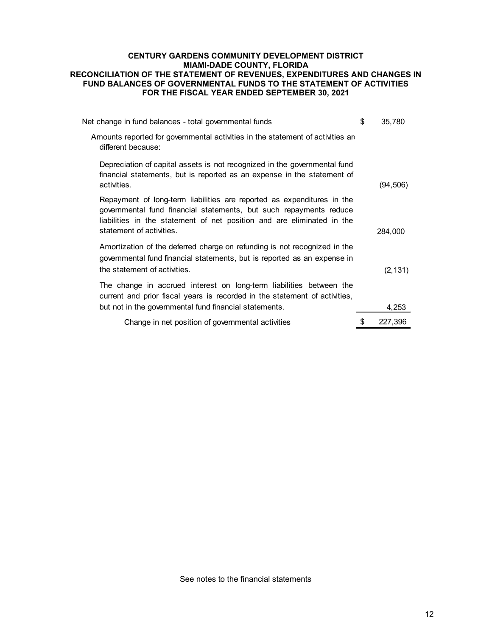### **CENTURY GARDENS COMMUNITY DEVELOPMENT DISTRICT MIAMI-DADE COUNTY, FLORIDA RECONCILIATION OF THE STATEMENT OF REVENUES, EXPENDITURES AND CHANGES IN FUND BALANCES OF GOVERNMENTAL FUNDS TO THE STATEMENT OF ACTIVITIES FOR THE FISCAL YEAR ENDED SEPTEMBER 30, 2021**

| Net change in fund balances - total governmental funds                                                                                                                                                                                             | \$<br>35,780 |
|----------------------------------------------------------------------------------------------------------------------------------------------------------------------------------------------------------------------------------------------------|--------------|
| Amounts reported for governmental activities in the statement of activities an<br>different because:                                                                                                                                               |              |
| Depreciation of capital assets is not recognized in the governmental fund<br>financial statements, but is reported as an expense in the statement of<br>activities.                                                                                | (94, 506)    |
| Repayment of long-term liabilities are reported as expenditures in the<br>governmental fund financial statements, but such repayments reduce<br>liabilities in the statement of net position and are eliminated in the<br>statement of activities. | 284,000      |
| Amortization of the deferred charge on refunding is not recognized in the<br>governmental fund financial statements, but is reported as an expense in<br>the statement of activities.                                                              | (2, 131)     |
| The change in accrued interest on long-term liabilities between the<br>current and prior fiscal years is recorded in the statement of activities,<br>but not in the governmental fund financial statements.                                        | 4,253        |
| Change in net position of governmental activities                                                                                                                                                                                                  | 227,396      |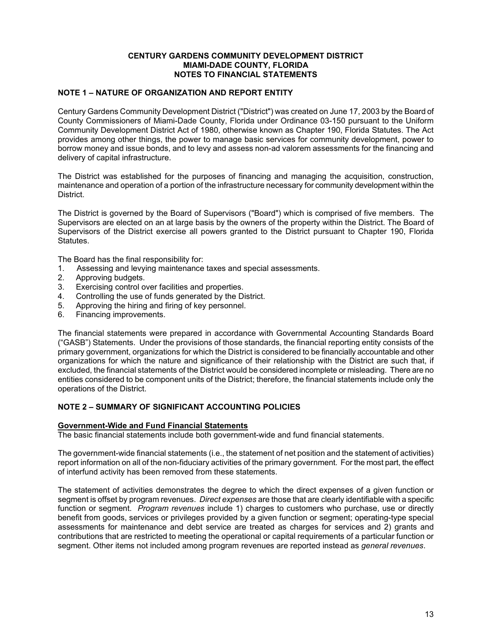### **CENTURY GARDENS COMMUNITY DEVELOPMENT DISTRICT MIAMI-DADE COUNTY, FLORIDA NOTES TO FINANCIAL STATEMENTS**

# **NOTE 1 – NATURE OF ORGANIZATION AND REPORT ENTITY**

Century Gardens Community Development District ("District") was created on June 17, 2003 by the Board of County Commissioners of Miami-Dade County, Florida under Ordinance 03-150 pursuant to the Uniform Community Development District Act of 1980, otherwise known as Chapter 190, Florida Statutes. The Act provides among other things, the power to manage basic services for community development, power to borrow money and issue bonds, and to levy and assess non-ad valorem assessments for the financing and delivery of capital infrastructure.

The District was established for the purposes of financing and managing the acquisition, construction, maintenance and operation of a portion of the infrastructure necessary for community development within the District.

The District is governed by the Board of Supervisors ("Board") which is comprised of five members. The Supervisors are elected on an at large basis by the owners of the property within the District. The Board of Supervisors of the District exercise all powers granted to the District pursuant to Chapter 190, Florida Statutes.

The Board has the final responsibility for:

- 1. Assessing and levying maintenance taxes and special assessments.
- 2. Approving budgets.<br>3. Exercising control of
- Exercising control over facilities and properties.
- 4. Controlling the use of funds generated by the District.
- 5. Approving the hiring and firing of key personnel.
- 6. Financing improvements.

The financial statements were prepared in accordance with Governmental Accounting Standards Board ("GASB") Statements. Under the provisions of those standards, the financial reporting entity consists of the primary government, organizations for which the District is considered to be financially accountable and other organizations for which the nature and significance of their relationship with the District are such that, if excluded, the financial statements of the District would be considered incomplete or misleading. There are no entities considered to be component units of the District; therefore, the financial statements include only the operations of the District.

## **NOTE 2 – SUMMARY OF SIGNIFICANT ACCOUNTING POLICIES**

### **Government-Wide and Fund Financial Statements**

The basic financial statements include both government-wide and fund financial statements.

The government-wide financial statements (i.e., the statement of net position and the statement of activities) report information on all of the non-fiduciary activities of the primary government. For the most part, the effect of interfund activity has been removed from these statements.

The statement of activities demonstrates the degree to which the direct expenses of a given function or segment is offset by program revenues. *Direct expenses* are those that are clearly identifiable with a specific function or segment. *Program revenues* include 1) charges to customers who purchase, use or directly benefit from goods, services or privileges provided by a given function or segment; operating-type special assessments for maintenance and debt service are treated as charges for services and 2) grants and contributions that are restricted to meeting the operational or capital requirements of a particular function or segment. Other items not included among program revenues are reported instead as *general revenues*.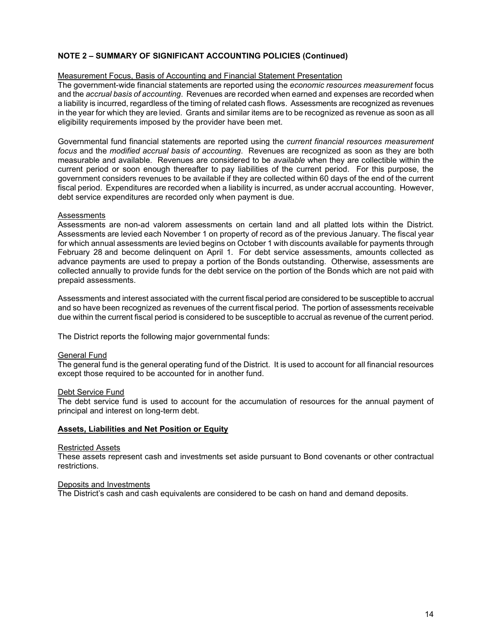## Measurement Focus, Basis of Accounting and Financial Statement Presentation

The government-wide financial statements are reported using the *economic resources measurement* focus and the *accrual basis of accounting*. Revenues are recorded when earned and expenses are recorded when a liability is incurred, regardless of the timing of related cash flows. Assessments are recognized as revenues in the year for which they are levied. Grants and similar items are to be recognized as revenue as soon as all eligibility requirements imposed by the provider have been met.

Governmental fund financial statements are reported using the *current financial resources measurement focus* and the *modified accrual basis of accounting*. Revenues are recognized as soon as they are both measurable and available. Revenues are considered to be *available* when they are collectible within the current period or soon enough thereafter to pay liabilities of the current period. For this purpose, the government considers revenues to be available if they are collected within 60 days of the end of the current fiscal period. Expenditures are recorded when a liability is incurred, as under accrual accounting. However, debt service expenditures are recorded only when payment is due.

#### **Assessments**

Assessments are non-ad valorem assessments on certain land and all platted lots within the District. Assessments are levied each November 1 on property of record as of the previous January. The fiscal year for which annual assessments are levied begins on October 1 with discounts available for payments through February 28 and become delinquent on April 1. For debt service assessments, amounts collected as advance payments are used to prepay a portion of the Bonds outstanding. Otherwise, assessments are collected annually to provide funds for the debt service on the portion of the Bonds which are not paid with prepaid assessments.

Assessments and interest associated with the current fiscal period are considered to be susceptible to accrual and so have been recognized as revenues of the current fiscal period. The portion of assessments receivable due within the current fiscal period is considered to be susceptible to accrual as revenue of the current period.

The District reports the following major governmental funds:

### General Fund

The general fund is the general operating fund of the District. It is used to account for all financial resources except those required to be accounted for in another fund.

#### Debt Service Fund

The debt service fund is used to account for the accumulation of resources for the annual payment of principal and interest on long-term debt.

### **Assets, Liabilities and Net Position or Equity**

#### Restricted Assets

These assets represent cash and investments set aside pursuant to Bond covenants or other contractual restrictions.

#### Deposits and Investments

The District's cash and cash equivalents are considered to be cash on hand and demand deposits.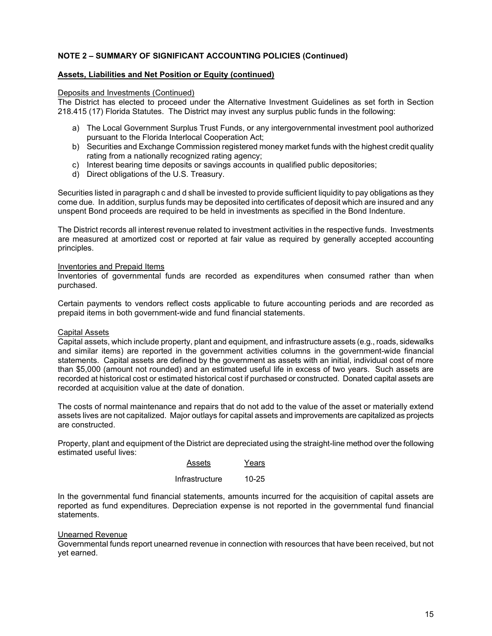### **Assets, Liabilities and Net Position or Equity (continued)**

#### Deposits and Investments (Continued)

The District has elected to proceed under the Alternative Investment Guidelines as set forth in Section 218.415 (17) Florida Statutes. The District may invest any surplus public funds in the following:

- a) The Local Government Surplus Trust Funds, or any intergovernmental investment pool authorized pursuant to the Florida Interlocal Cooperation Act;
- b) Securities and Exchange Commission registered money market funds with the highest credit quality rating from a nationally recognized rating agency;
- c) Interest bearing time deposits or savings accounts in qualified public depositories;
- d) Direct obligations of the U.S. Treasury.

Securities listed in paragraph c and d shall be invested to provide sufficient liquidity to pay obligations as they come due. In addition, surplus funds may be deposited into certificates of deposit which are insured and any unspent Bond proceeds are required to be held in investments as specified in the Bond Indenture.

The District records all interest revenue related to investment activities in the respective funds. Investments are measured at amortized cost or reported at fair value as required by generally accepted accounting principles.

#### Inventories and Prepaid Items

Inventories of governmental funds are recorded as expenditures when consumed rather than when purchased.

Certain payments to vendors reflect costs applicable to future accounting periods and are recorded as prepaid items in both government-wide and fund financial statements.

#### Capital Assets

Capital assets, which include property, plant and equipment, and infrastructure assets (e.g., roads, sidewalks and similar items) are reported in the government activities columns in the government-wide financial statements. Capital assets are defined by the government as assets with an initial, individual cost of more than \$5,000 (amount not rounded) and an estimated useful life in excess of two years. Such assets are recorded at historical cost or estimated historical cost if purchased or constructed. Donated capital assets are recorded at acquisition value at the date of donation.

The costs of normal maintenance and repairs that do not add to the value of the asset or materially extend assets lives are not capitalized. Major outlays for capital assets and improvements are capitalized as projects are constructed.

Property, plant and equipment of the District are depreciated using the straight-line method over the following estimated useful lives:

| Assets         | Years     |
|----------------|-----------|
| Infrastructure | $10 - 25$ |

In the governmental fund financial statements, amounts incurred for the acquisition of capital assets are reported as fund expenditures. Depreciation expense is not reported in the governmental fund financial statements.

#### Unearned Revenue

Governmental funds report unearned revenue in connection with resources that have been received, but not yet earned.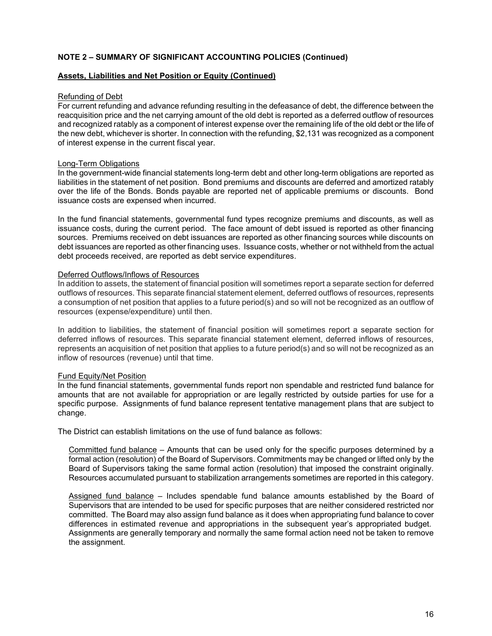## **Assets, Liabilities and Net Position or Equity (Continued)**

### Refunding of Debt

For current refunding and advance refunding resulting in the defeasance of debt, the difference between the reacquisition price and the net carrying amount of the old debt is reported as a deferred outflow of resources and recognized ratably as a component of interest expense over the remaining life of the old debt or the life of the new debt, whichever is shorter. In connection with the refunding, \$2,131 was recognized as a component of interest expense in the current fiscal year.

### Long-Term Obligations

In the government-wide financial statements long-term debt and other long-term obligations are reported as liabilities in the statement of net position. Bond premiums and discounts are deferred and amortized ratably over the life of the Bonds. Bonds payable are reported net of applicable premiums or discounts. Bond issuance costs are expensed when incurred.

In the fund financial statements, governmental fund types recognize premiums and discounts, as well as issuance costs, during the current period. The face amount of debt issued is reported as other financing sources. Premiums received on debt issuances are reported as other financing sources while discounts on debt issuances are reported as other financing uses. Issuance costs, whether or not withheld from the actual debt proceeds received, are reported as debt service expenditures.

### Deferred Outflows/Inflows of Resources

In addition to assets, the statement of financial position will sometimes report a separate section for deferred outflows of resources. This separate financial statement element, deferred outflows of resources, represents a consumption of net position that applies to a future period(s) and so will not be recognized as an outflow of resources (expense/expenditure) until then.

In addition to liabilities, the statement of financial position will sometimes report a separate section for deferred inflows of resources. This separate financial statement element, deferred inflows of resources, represents an acquisition of net position that applies to a future period(s) and so will not be recognized as an inflow of resources (revenue) until that time.

### Fund Equity/Net Position

In the fund financial statements, governmental funds report non spendable and restricted fund balance for amounts that are not available for appropriation or are legally restricted by outside parties for use for a specific purpose. Assignments of fund balance represent tentative management plans that are subject to change.

The District can establish limitations on the use of fund balance as follows:

Committed fund balance – Amounts that can be used only for the specific purposes determined by a formal action (resolution) of the Board of Supervisors. Commitments may be changed or lifted only by the Board of Supervisors taking the same formal action (resolution) that imposed the constraint originally. Resources accumulated pursuant to stabilization arrangements sometimes are reported in this category.

Assigned fund balance – Includes spendable fund balance amounts established by the Board of Supervisors that are intended to be used for specific purposes that are neither considered restricted nor committed. The Board may also assign fund balance as it does when appropriating fund balance to cover differences in estimated revenue and appropriations in the subsequent year's appropriated budget. Assignments are generally temporary and normally the same formal action need not be taken to remove the assignment.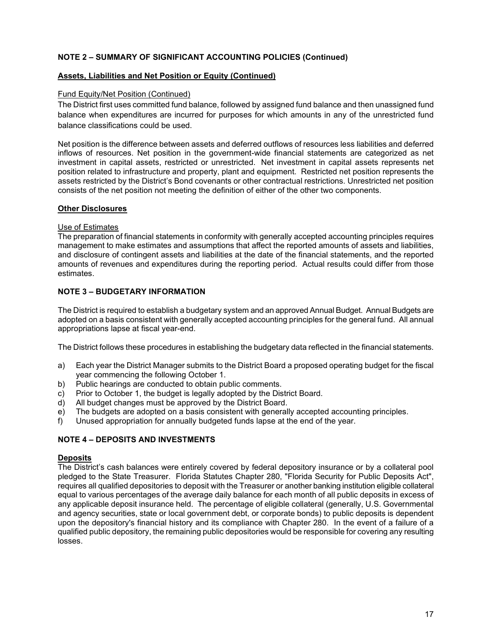# **Assets, Liabilities and Net Position or Equity (Continued)**

### Fund Equity/Net Position (Continued)

The District first uses committed fund balance, followed by assigned fund balance and then unassigned fund balance when expenditures are incurred for purposes for which amounts in any of the unrestricted fund balance classifications could be used.

Net position is the difference between assets and deferred outflows of resources less liabilities and deferred inflows of resources. Net position in the government-wide financial statements are categorized as net investment in capital assets, restricted or unrestricted. Net investment in capital assets represents net position related to infrastructure and property, plant and equipment. Restricted net position represents the assets restricted by the District's Bond covenants or other contractual restrictions. Unrestricted net position consists of the net position not meeting the definition of either of the other two components.

### **Other Disclosures**

### Use of Estimates

The preparation of financial statements in conformity with generally accepted accounting principles requires management to make estimates and assumptions that affect the reported amounts of assets and liabilities, and disclosure of contingent assets and liabilities at the date of the financial statements, and the reported amounts of revenues and expenditures during the reporting period. Actual results could differ from those estimates.

# **NOTE 3 – BUDGETARY INFORMATION**

The District is required to establish a budgetary system and an approved Annual Budget. Annual Budgets are adopted on a basis consistent with generally accepted accounting principles for the general fund. All annual appropriations lapse at fiscal year-end.

The District follows these procedures in establishing the budgetary data reflected in the financial statements.

- a) Each year the District Manager submits to the District Board a proposed operating budget for the fiscal year commencing the following October 1.
- b) Public hearings are conducted to obtain public comments.
- c) Prior to October 1, the budget is legally adopted by the District Board.
- d) All budget changes must be approved by the District Board.
- e) The budgets are adopted on a basis consistent with generally accepted accounting principles.
- f) Unused appropriation for annually budgeted funds lapse at the end of the year.

# **NOTE 4 – DEPOSITS AND INVESTMENTS**

### **Deposits**

The District's cash balances were entirely covered by federal depository insurance or by a collateral pool pledged to the State Treasurer. Florida Statutes Chapter 280, "Florida Security for Public Deposits Act", requires all qualified depositories to deposit with the Treasurer or another banking institution eligible collateral equal to various percentages of the average daily balance for each month of all public deposits in excess of any applicable deposit insurance held. The percentage of eligible collateral (generally, U.S. Governmental and agency securities, state or local government debt, or corporate bonds) to public deposits is dependent upon the depository's financial history and its compliance with Chapter 280. In the event of a failure of a qualified public depository, the remaining public depositories would be responsible for covering any resulting losses.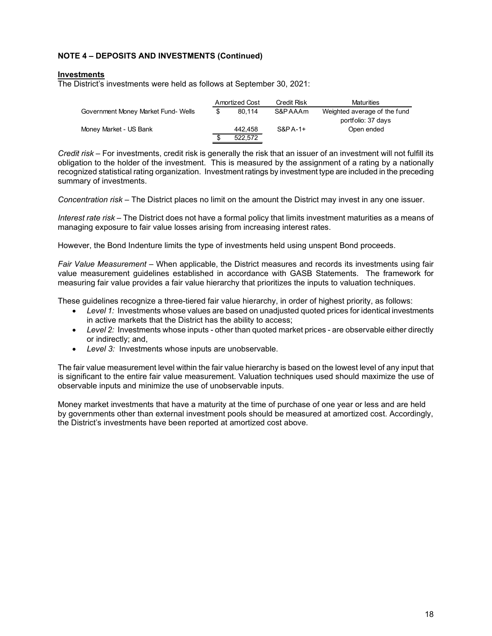# **NOTE 4 – DEPOSITS AND INVESTMENTS (Continued)**

### **Investments**

The District's investments were held as follows at September 30, 2021:

|                                     | <b>Amortized Cost</b> | Credit Risk | Maturities                   |
|-------------------------------------|-----------------------|-------------|------------------------------|
| Government Money Market Fund- Wells | 80.114                | S&P AAAm    | Weighted average of the fund |
|                                     |                       |             | portfolio: 37 days           |
| Money Market - US Bank              | 442.458               | $S\&P A-1+$ | Open ended                   |
|                                     | 522.572               |             |                              |

*Credit risk –* For investments, credit risk is generally the risk that an issuer of an investment will not fulfill its obligation to the holder of the investment. This is measured by the assignment of a rating by a nationally recognized statistical rating organization. Investment ratings by investment type are included in the preceding summary of investments.

*Concentration risk –* The District places no limit on the amount the District may invest in any one issuer.

*Interest rate risk –* The District does not have a formal policy that limits investment maturities as a means of managing exposure to fair value losses arising from increasing interest rates.

However, the Bond Indenture limits the type of investments held using unspent Bond proceeds.

*Fair Value Measurement –* When applicable, the District measures and records its investments using fair value measurement guidelines established in accordance with GASB Statements. The framework for measuring fair value provides a fair value hierarchy that prioritizes the inputs to valuation techniques.

These guidelines recognize a three-tiered fair value hierarchy, in order of highest priority, as follows:

- *Level 1:* Investments whose values are based on unadjusted quoted prices for identical investments in active markets that the District has the ability to access;
- *Level 2:* Investments whose inputs other than quoted market prices are observable either directly or indirectly; and,
- *Level 3:* Investments whose inputs are unobservable.

The fair value measurement level within the fair value hierarchy is based on the lowest level of any input that is significant to the entire fair value measurement. Valuation techniques used should maximize the use of observable inputs and minimize the use of unobservable inputs.

Money market investments that have a maturity at the time of purchase of one year or less and are held by governments other than external investment pools should be measured at amortized cost. Accordingly, the District's investments have been reported at amortized cost above.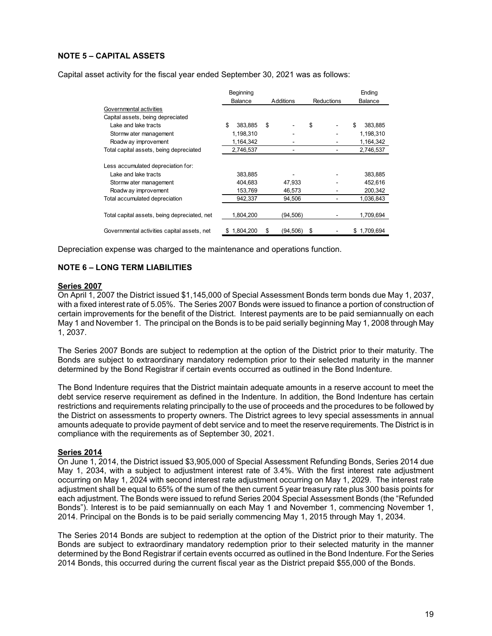# **NOTE 5 – CAPITAL ASSETS**

Capital asset activity for the fiscal year ended September 30, 2021 was as follows:

|                                              | Beginning<br><b>Balance</b> |           |           | Ending<br>Balance |  |               |
|----------------------------------------------|-----------------------------|-----------|-----------|-------------------|--|---------------|
| Governmental activities                      |                             | Additions |           | <b>Reductions</b> |  |               |
| Capital assets, being depreciated            |                             |           |           |                   |  |               |
| Lake and lake tracts                         | \$.<br>383,885              | \$        |           | \$                |  | \$<br>383,885 |
| Stormw ater management                       | 1,198,310                   |           |           |                   |  | 1,198,310     |
| Roadw ay improvement                         | 1,164,342                   |           |           |                   |  | 1,164,342     |
| Total capital assets, being depreciated      | 2,746,537                   |           |           |                   |  | 2,746,537     |
| Less accumulated depreciation for:           |                             |           |           |                   |  |               |
| Lake and lake tracts                         | 383,885                     |           |           |                   |  | 383,885       |
| Stormw ater management                       | 404,683                     |           | 47,933    |                   |  | 452,616       |
| Roadw ay improvement                         | 153,769                     |           | 46.573    |                   |  | 200,342       |
| Total accumulated depreciation               | 942,337                     |           | 94,506    |                   |  | 1,036,843     |
| Total capital assets, being depreciated, net | 1,804,200                   |           | (94, 506) |                   |  | 1,709,694     |
| Governmental activities capital assets, net  | 1,804,200                   | S         | (94,506)  | S                 |  | \$1,709,694   |

Depreciation expense was charged to the maintenance and operations function.

# **NOTE 6 – LONG TERM LIABILITIES**

#### **Series 2007**

On April 1, 2007 the District issued \$1,145,000 of Special Assessment Bonds term bonds due May 1, 2037, with a fixed interest rate of 5.05%. The Series 2007 Bonds were issued to finance a portion of construction of certain improvements for the benefit of the District. Interest payments are to be paid semiannually on each May 1 and November 1. The principal on the Bonds is to be paid serially beginning May 1, 2008 through May 1, 2037.

The Series 2007 Bonds are subject to redemption at the option of the District prior to their maturity. The Bonds are subject to extraordinary mandatory redemption prior to their selected maturity in the manner determined by the Bond Registrar if certain events occurred as outlined in the Bond Indenture.

The Bond Indenture requires that the District maintain adequate amounts in a reserve account to meet the debt service reserve requirement as defined in the Indenture. In addition, the Bond Indenture has certain restrictions and requirements relating principally to the use of proceeds and the procedures to be followed by the District on assessments to property owners. The District agrees to levy special assessments in annual amounts adequate to provide payment of debt service and to meet the reserve requirements. The District is in compliance with the requirements as of September 30, 2021.

### **Series 2014**

On June 1, 2014, the District issued \$3,905,000 of Special Assessment Refunding Bonds, Series 2014 due May 1, 2034, with a subject to adjustment interest rate of 3.4%. With the first interest rate adjustment occurring on May 1, 2024 with second interest rate adjustment occurring on May 1, 2029. The interest rate adjustment shall be equal to 65% of the sum of the then current 5 year treasury rate plus 300 basis points for each adjustment. The Bonds were issued to refund Series 2004 Special Assessment Bonds (the "Refunded Bonds"). Interest is to be paid semiannually on each May 1 and November 1, commencing November 1, 2014. Principal on the Bonds is to be paid serially commencing May 1, 2015 through May 1, 2034.

The Series 2014 Bonds are subject to redemption at the option of the District prior to their maturity. The Bonds are subject to extraordinary mandatory redemption prior to their selected maturity in the manner determined by the Bond Registrar if certain events occurred as outlined in the Bond Indenture. For the Series 2014 Bonds, this occurred during the current fiscal year as the District prepaid \$55,000 of the Bonds.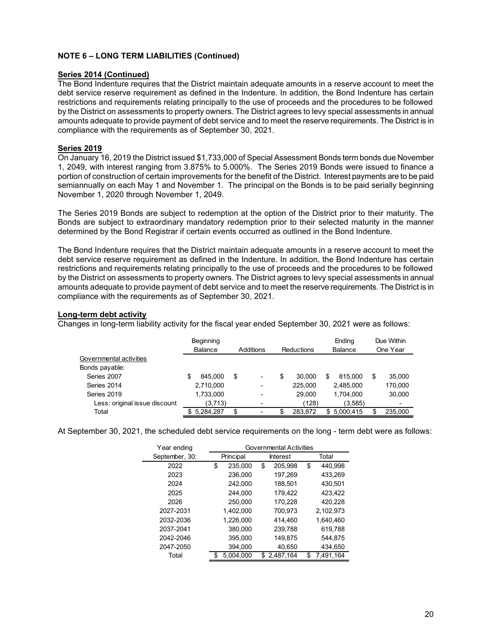# **NOTE 6 – LONG TERM LIABILITIES (Continued)**

### **Series 2014 (Continued)**

The Bond Indenture requires that the District maintain adequate amounts in a reserve account to meet the debt service reserve requirement as defined in the Indenture. In addition, the Bond Indenture has certain restrictions and requirements relating principally to the use of proceeds and the procedures to be followed by the District on assessments to property owners. The District agrees to levy special assessments in annual amounts adequate to provide payment of debt service and to meet the reserve requirements. The District is in compliance with the requirements as of September 30, 2021.

# **Series 2019**

On January 16, 2019 the District issued \$1,733,000 of Special Assessment Bonds term bonds due November 1, 2049, with interest ranging from 3.875% to 5.000%. The Series 2019 Bonds were issued to finance a portion of construction of certain improvements for the benefit of the District. Interest payments are to be paid semiannually on each May 1 and November 1. The principal on the Bonds is to be paid serially beginning November 1, 2020 through November 1, 2049.

The Series 2019 Bonds are subject to redemption at the option of the District prior to their maturity. The Bonds are subject to extraordinary mandatory redemption prior to their selected maturity in the manner determined by the Bond Registrar if certain events occurred as outlined in the Bond Indenture.

The Bond Indenture requires that the District maintain adequate amounts in a reserve account to meet the debt service reserve requirement as defined in the Indenture. In addition, the Bond Indenture has certain restrictions and requirements relating principally to the use of proceeds and the procedures to be followed by the District on assessments to property owners. The District agrees to levy special assessments in annual amounts adequate to provide payment of debt service and to meet the reserve requirements. The District is in compliance with the requirements as of September 30, 2021.

#### **Long-term debt activity**

Changes in long-term liability activity for the fiscal year ended September 30, 2021 were as follows:

|                               | Beginning        |         |           |                          |    |         |    | Ending    |    | Due Within |
|-------------------------------|------------------|---------|-----------|--------------------------|----|---------|----|-----------|----|------------|
|                               | Balance          |         | Additions | Reductions               |    | Balance |    | One Year  |    |            |
| Governmental activities       |                  |         |           |                          |    |         |    |           |    |            |
| Bonds payable:                |                  |         |           |                          |    |         |    |           |    |            |
| Series 2007                   | 845.000<br>\$    |         | S         | ٠                        | \$ | 30.000  | \$ | 815,000   | \$ | 35,000     |
| Series 2014                   | 2,710,000        |         |           | -                        |    | 225,000 |    | 2,485,000 |    | 170,000    |
| Series 2019                   | 1,733,000        |         |           | -                        |    | 29,000  |    | 1,704,000 |    | 30,000     |
| Less: original issue discount |                  | (3,713) |           | $\overline{\phantom{0}}$ |    | (128)   |    | (3,585)   |    | ٠          |
| Total                         | 5,284,287<br>SS. |         | \$        |                          | \$ | 283,872 | \$ | 5,000,415 |    | 235.000    |

At September 30, 2021, the scheduled debt service requirements on the long - term debt were as follows:

| Year ending    | <b>Governmental Activities</b> |                      |         |                 |           |           |  |  |
|----------------|--------------------------------|----------------------|---------|-----------------|-----------|-----------|--|--|
| September, 30: |                                | Principal            |         | <b>Interest</b> |           | Total     |  |  |
| 2022           | \$                             | 235,000              | \$      | 205,998         | \$        | 440,998   |  |  |
| 2023           |                                | 236,000              |         | 197,269         |           | 433,269   |  |  |
| 2024           |                                | 242.000              |         | 188.501         |           |           |  |  |
| 2025           |                                | 244.000              | 179,422 |                 | 423,422   |           |  |  |
| 2026           |                                | 170,228<br>250.000   |         |                 | 420,228   |           |  |  |
| 2027-2031      |                                | 1,402,000            |         | 700,973         |           | 2,102,973 |  |  |
| 2032-2036      |                                | 1,226,000<br>414,460 |         |                 | 1.640.460 |           |  |  |
| 2037-2041      |                                | 380,000<br>239,788   |         |                 | 619,788   |           |  |  |
| 2042-2046      |                                | 395,000<br>149.875   |         |                 | 544.875   |           |  |  |
| 2047-2050      |                                | 394,000              |         | 40,650          |           | 434,650   |  |  |
| Total          | S                              | 5.004.000            | \$.     | 2.487.164       | \$        | 7,491,164 |  |  |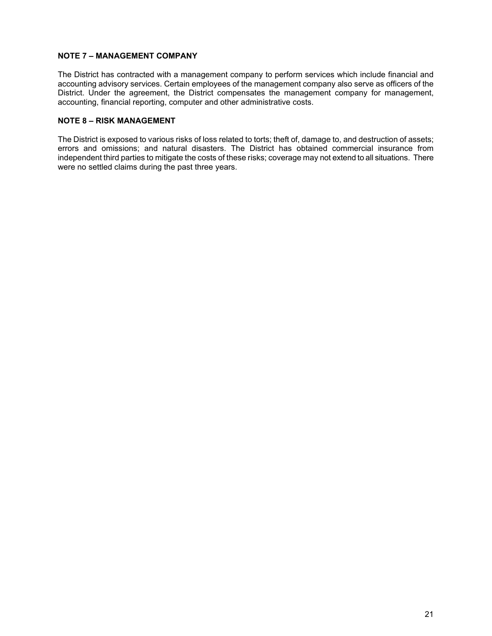# **NOTE 7 – MANAGEMENT COMPANY**

The District has contracted with a management company to perform services which include financial and accounting advisory services. Certain employees of the management company also serve as officers of the District. Under the agreement, the District compensates the management company for management, accounting, financial reporting, computer and other administrative costs.

## **NOTE 8 – RISK MANAGEMENT**

The District is exposed to various risks of loss related to torts; theft of, damage to, and destruction of assets; errors and omissions; and natural disasters. The District has obtained commercial insurance from independent third parties to mitigate the costs of these risks; coverage may not extend to all situations. There were no settled claims during the past three years.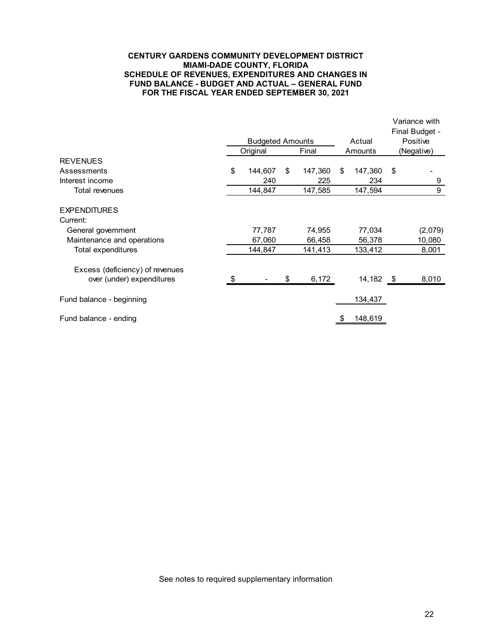### **CENTURY GARDENS COMMUNITY DEVELOPMENT DISTRICT MIAMI-DADE COUNTY, FLORIDA SCHEDULE OF REVENUES, EXPENDITURES AND CHANGES IN FUND BALANCE - BUDGET AND ACTUAL – GENERAL FUND FOR THE FISCAL YEAR ENDED SEPTEMBER 30, 2021**

|                                 |                         |          |    |         |    |         |      | Variance with<br>Final Budget - |  |
|---------------------------------|-------------------------|----------|----|---------|----|---------|------|---------------------------------|--|
|                                 | <b>Budgeted Amounts</b> |          |    |         |    | Actual  |      | Positive                        |  |
|                                 |                         | Original |    | Final   |    | Amounts |      | (Negative)                      |  |
| <b>REVENUES</b>                 |                         |          |    |         |    |         |      |                                 |  |
| Assessments                     | \$                      | 144,607  | \$ | 147,360 | \$ | 147,360 | \$   |                                 |  |
| Interest income                 |                         | 240      |    | 225     |    | 234     |      | 9                               |  |
| Total revenues                  |                         | 144,847  |    | 147,585 |    | 147,594 |      | 9                               |  |
| <b>EXPENDITURES</b>             |                         |          |    |         |    |         |      |                                 |  |
| Current:                        |                         |          |    |         |    |         |      |                                 |  |
| General government              |                         | 77,787   |    | 74,955  |    | 77,034  |      | (2,079)                         |  |
| Maintenance and operations      |                         | 67,060   |    | 66,458  |    | 56,378  |      | 10,080                          |  |
| Total expenditures              |                         | 144,847  |    | 141,413 |    | 133,412 |      | 8,001                           |  |
| Excess (deficiency) of revenues |                         |          |    |         |    |         |      |                                 |  |
| over (under) expenditures       |                         |          | \$ | 6,172   |    | 14,182  | - \$ | 8,010                           |  |
| Fund balance - beginning        |                         |          |    |         |    | 134,437 |      |                                 |  |
| Fund balance - ending           |                         |          |    |         |    | 148,619 |      |                                 |  |

See notes to required supplementary information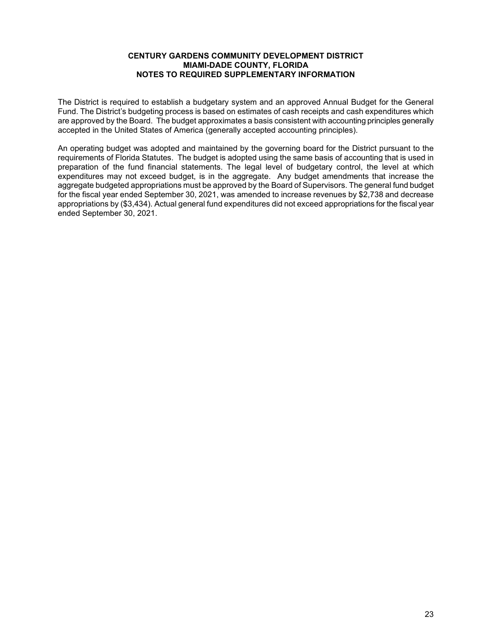### **CENTURY GARDENS COMMUNITY DEVELOPMENT DISTRICT MIAMI-DADE COUNTY, FLORIDA NOTES TO REQUIRED SUPPLEMENTARY INFORMATION**

The District is required to establish a budgetary system and an approved Annual Budget for the General Fund. The District's budgeting process is based on estimates of cash receipts and cash expenditures which are approved by the Board. The budget approximates a basis consistent with accounting principles generally accepted in the United States of America (generally accepted accounting principles).

An operating budget was adopted and maintained by the governing board for the District pursuant to the requirements of Florida Statutes. The budget is adopted using the same basis of accounting that is used in preparation of the fund financial statements. The legal level of budgetary control, the level at which expenditures may not exceed budget, is in the aggregate. Any budget amendments that increase the aggregate budgeted appropriations must be approved by the Board of Supervisors. The general fund budget for the fiscal year ended September 30, 2021, was amended to increase revenues by \$2,738 and decrease appropriations by (\$3,434). Actual general fund expenditures did not exceed appropriations for the fiscal year ended September 30, 2021.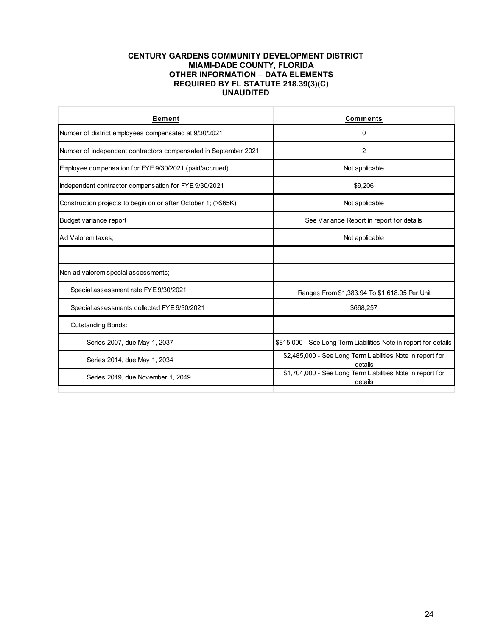### **CENTURY GARDENS COMMUNITY DEVELOPMENT DISTRICT MIAMI-DADE COUNTY, FLORIDA OTHER INFORMATION – DATA ELEMENTS REQUIRED BY FL STATUTE 218.39(3)(C) UNAUDITED**

| <b>Element</b>                                                  | <b>Comments</b>                                                       |  |  |  |  |  |
|-----------------------------------------------------------------|-----------------------------------------------------------------------|--|--|--|--|--|
| Number of district employees compensated at 9/30/2021           | 0                                                                     |  |  |  |  |  |
| Number of independent contractors compensated in September 2021 | 2                                                                     |  |  |  |  |  |
| Employee compensation for FYE 9/30/2021 (paid/accrued)          | Not applicable                                                        |  |  |  |  |  |
| Independent contractor compensation for FYE 9/30/2021           | \$9,206                                                               |  |  |  |  |  |
| Construction projects to begin on or after October 1; (>\$65K)  | Not applicable                                                        |  |  |  |  |  |
| Budget variance report                                          | See Variance Report in report for details                             |  |  |  |  |  |
| Ad Valorem taxes:                                               | Not applicable                                                        |  |  |  |  |  |
|                                                                 |                                                                       |  |  |  |  |  |
| Non ad valorem special assessments;                             |                                                                       |  |  |  |  |  |
| Special assessment rate FYE 9/30/2021                           | Ranges From \$1,383.94 To \$1,618.95 Per Unit                         |  |  |  |  |  |
| Special assessments collected FYE 9/30/2021                     | \$668,257                                                             |  |  |  |  |  |
| <b>Outstanding Bonds:</b>                                       |                                                                       |  |  |  |  |  |
| Series 2007, due May 1, 2037                                    | \$815,000 - See Long Term Liabilities Note in report for details      |  |  |  |  |  |
| Series 2014, due May 1, 2034                                    | \$2,485,000 - See Long Term Liabilities Note in report for<br>details |  |  |  |  |  |
| Series 2019, due November 1, 2049                               | \$1,704,000 - See Long Term Liabilities Note in report for<br>details |  |  |  |  |  |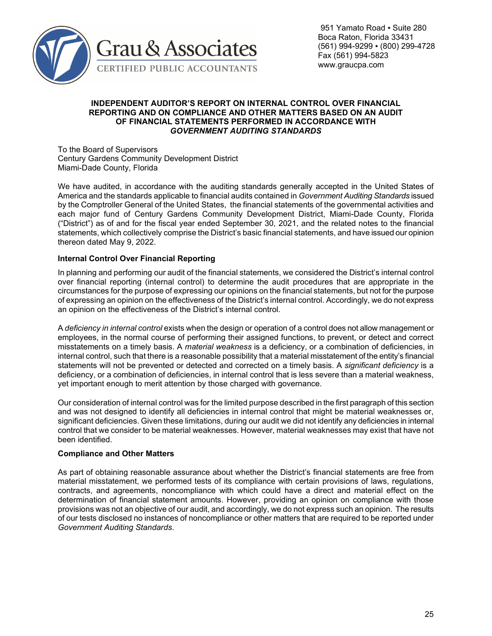

## **INDEPENDENT AUDITOR'S REPORT ON INTERNAL CONTROL OVER FINANCIAL REPORTING AND ON COMPLIANCE AND OTHER MATTERS BASED ON AN AUDIT OF FINANCIAL STATEMENTS PERFORMED IN ACCORDANCE WITH**  *GOVERNMENT AUDITING STANDARDS*

To the Board of Supervisors Century Gardens Community Development District Miami-Dade County, Florida

We have audited, in accordance with the auditing standards generally accepted in the United States of America and the standards applicable to financial audits contained in *Government Auditing Standards* issued by the Comptroller General of the United States, the financial statements of the governmental activities and each major fund of Century Gardens Community Development District, Miami-Dade County, Florida ("District") as of and for the fiscal year ended September 30, 2021, and the related notes to the financial statements, which collectively comprise the District's basic financial statements, and have issued our opinion thereon dated May 9, 2022.

# **Internal Control Over Financial Reporting**

In planning and performing our audit of the financial statements, we considered the District's internal control over financial reporting (internal control) to determine the audit procedures that are appropriate in the circumstances for the purpose of expressing our opinions on the financial statements, but not for the purpose of expressing an opinion on the effectiveness of the District's internal control. Accordingly, we do not express an opinion on the effectiveness of the District's internal control.

A *deficiency in internal control* exists when the design or operation of a control does not allow management or employees, in the normal course of performing their assigned functions, to prevent, or detect and correct misstatements on a timely basis. A *material weakness* is a deficiency, or a combination of deficiencies, in internal control, such that there is a reasonable possibility that a material misstatement of the entity's financial statements will not be prevented or detected and corrected on a timely basis. A *significant deficiency* is a deficiency, or a combination of deficiencies, in internal control that is less severe than a material weakness, yet important enough to merit attention by those charged with governance.

Our consideration of internal control was for the limited purpose described in the first paragraph of this section and was not designed to identify all deficiencies in internal control that might be material weaknesses or, significant deficiencies. Given these limitations, during our audit we did not identify any deficiencies in internal control that we consider to be material weaknesses. However, material weaknesses may exist that have not been identified.

# **Compliance and Other Matters**

As part of obtaining reasonable assurance about whether the District's financial statements are free from material misstatement, we performed tests of its compliance with certain provisions of laws, regulations, contracts, and agreements, noncompliance with which could have a direct and material effect on the determination of financial statement amounts. However, providing an opinion on compliance with those provisions was not an objective of our audit, and accordingly, we do not express such an opinion. The results of our tests disclosed no instances of noncompliance or other matters that are required to be reported under *Government Auditing Standards*.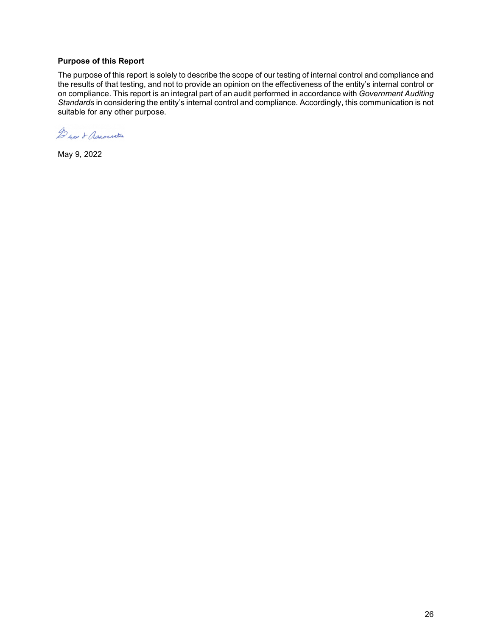# **Purpose of this Report**

The purpose of this report is solely to describe the scope of our testing of internal control and compliance and the results of that testing, and not to provide an opinion on the effectiveness of the entity's internal control or on compliance. This report is an integral part of an audit performed in accordance with *Government Auditing Standards* in considering the entity's internal control and compliance. Accordingly, this communication is not suitable for any other purpose.

De nav & Association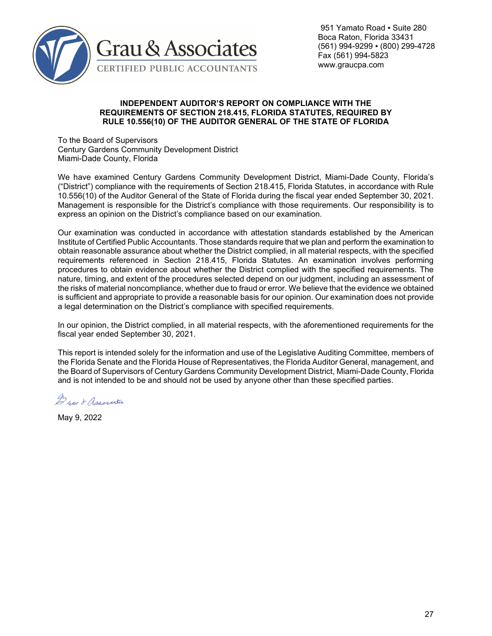

951 Yamato Road • Suite 280 Boca Raton, Florida 33431 (561) 994-9299 ▪ (800) 299-4728 Fax (561) 994-5823 www.graucpa.com

# **INDEPENDENT AUDITOR'S REPORT ON COMPLIANCE WITH THE REQUIREMENTS OF SECTION 218.415, FLORIDA STATUTES, REQUIRED BY RULE 10.556(10) OF THE AUDITOR GENERAL OF THE STATE OF FLORIDA**

To the Board of Supervisors Century Gardens Community Development District Miami-Dade County, Florida

We have examined Century Gardens Community Development District, Miami-Dade County, Florida's ("District") compliance with the requirements of Section 218.415, Florida Statutes, in accordance with Rule 10.556(10) of the Auditor General of the State of Florida during the fiscal year ended September 30, 2021. Management is responsible for the District's compliance with those requirements. Our responsibility is to express an opinion on the District's compliance based on our examination.

Our examination was conducted in accordance with attestation standards established by the American Institute of Certified Public Accountants. Those standards require that we plan and perform the examination to obtain reasonable assurance about whether the District complied, in all material respects, with the specified requirements referenced in Section 218.415, Florida Statutes. An examination involves performing procedures to obtain evidence about whether the District complied with the specified requirements. The nature, timing, and extent of the procedures selected depend on our judgment, including an assessment of the risks of material noncompliance, whether due to fraud or error. We believe that the evidence we obtained is sufficient and appropriate to provide a reasonable basis for our opinion. Our examination does not provide a legal determination on the District's compliance with specified requirements.

In our opinion, the District complied, in all material respects, with the aforementioned requirements for the fiscal year ended September 30, 2021.

This report is intended solely for the information and use of the Legislative Auditing Committee, members of the Florida Senate and the Florida House of Representatives, the Florida Auditor General, management, and the Board of Supervisors of Century Gardens Community Development District, Miami-Dade County, Florida and is not intended to be and should not be used by anyone other than these specified parties.

D you & Association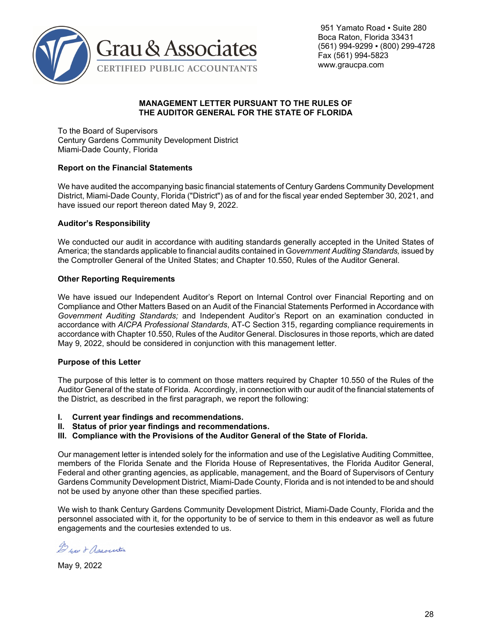

951 Yamato Road • Suite 280 Boca Raton, Florida 33431 (561) 994-9299 ▪ (800) 299-4728 Fax (561) 994-5823 www.graucpa.com

# **MANAGEMENT LETTER PURSUANT TO THE RULES OF THE AUDITOR GENERAL FOR THE STATE OF FLORIDA**

To the Board of Supervisors Century Gardens Community Development District Miami-Dade County, Florida

# **Report on the Financial Statements**

We have audited the accompanying basic financial statements of Century Gardens Community Development District, Miami-Dade County, Florida ("District") as of and for the fiscal year ended September 30, 2021, and have issued our report thereon dated May 9, 2022.

## **Auditor's Responsibility**

We conducted our audit in accordance with auditing standards generally accepted in the United States of America; the standards applicable to financial audits contained in G*overnment Auditing Standards,* issued by the Comptroller General of the United States; and Chapter 10.550, Rules of the Auditor General.

## **Other Reporting Requirements**

We have issued our Independent Auditor's Report on Internal Control over Financial Reporting and on Compliance and Other Matters Based on an Audit of the Financial Statements Performed in Accordance with *Government Auditing Standards;* and Independent Auditor's Report on an examination conducted in accordance with *AICPA Professional Standards*, AT-C Section 315, regarding compliance requirements in accordance with Chapter 10.550, Rules of the Auditor General. Disclosures in those reports, which are dated May 9, 2022, should be considered in conjunction with this management letter.

### **Purpose of this Letter**

The purpose of this letter is to comment on those matters required by Chapter 10.550 of the Rules of the Auditor General of the state of Florida. Accordingly, in connection with our audit of the financial statements of the District, as described in the first paragraph, we report the following:

- **I. Current year findings and recommendations.**
- **II. Status of prior year findings and recommendations.**
- **III. Compliance with the Provisions of the Auditor General of the State of Florida.**

Our management letter is intended solely for the information and use of the Legislative Auditing Committee, members of the Florida Senate and the Florida House of Representatives, the Florida Auditor General, Federal and other granting agencies, as applicable, management, and the Board of Supervisors of Century Gardens Community Development District, Miami-Dade County, Florida and is not intended to be and should not be used by anyone other than these specified parties.

We wish to thank Century Gardens Community Development District, Miami-Dade County, Florida and the personnel associated with it, for the opportunity to be of service to them in this endeavor as well as future engagements and the courtesies extended to us.

Dear & Association